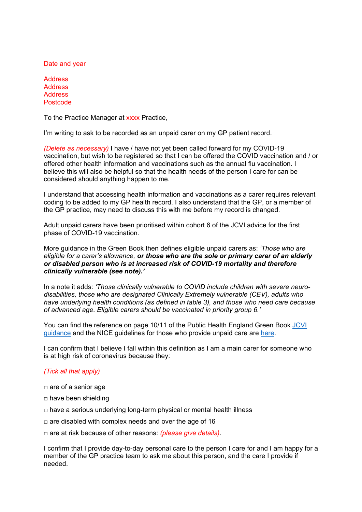Date and year

**Address Address Address** Postcode

To the Practice Manager at xxxx Practice,

I'm writing to ask to be recorded as an unpaid carer on my GP patient record.

*(Delete as necessary)* I have / have not yet been called forward for my COVID-19 vaccination, but wish to be registered so that I can be offered the COVID vaccination and / or offered other health information and vaccinations such as the annual flu vaccination. I believe this will also be helpful so that the health needs of the person I care for can be considered should anything happen to me.

I understand that accessing health information and vaccinations as a carer requires relevant coding to be added to my GP health record. I also understand that the GP, or a member of the GP practice, may need to discuss this with me before my record is changed.

Adult unpaid carers have been prioritised within cohort 6 of the JCVI advice for the first phase of COVID-19 vaccination.

More guidance in the Green Book then defines eligible unpaid carers as: *'Those who are eligible for a carer's allowance, or those who are the sole or primary carer of an elderly or disabled person who is at increased risk of COVID-19 mortality and therefore clinically vulnerable (see note).'* 

In a note it adds: *'Those clinically vulnerable to COVID include children with severe neurodisabilities, those who are designated Clinically Extremely vulnerable (CEV), adults who have underlying health conditions (as defined in table 3), and those who need care because of advanced age. Eligible carers should be vaccinated in priority group 6.'*

You can find the reference on page 10/11 of the Public Health England Green Book [JCVI](https://assets.publishing.service.gov.uk/government/uploads/system/uploads/attachment_data/file/961287/Greenbook_chapter_14a_v7_12Feb2021.pdf)  [guidance](https://assets.publishing.service.gov.uk/government/uploads/system/uploads/attachment_data/file/961287/Greenbook_chapter_14a_v7_12Feb2021.pdf) and the NICE guidelines for those who provide unpaid care are [here.](https://www.nice.org.uk/guidance/ng150)

I can confirm that I believe I fall within this definition as I am a main carer for someone who is at high risk of coronavirus because they:

## *(Tick all that apply)*

- □ are of a senior age
- $\Box$  have been shielding
- $\Box$  have a serious underlying long-term physical or mental health illness
- $\Box$  are disabled with complex needs and over the age of 16
- □ are at risk because of other reasons: *(please give details)*.

I confirm that I provide day-to-day personal care to the person I care for and I am happy for a member of the GP practice team to ask me about this person, and the care I provide if needed.